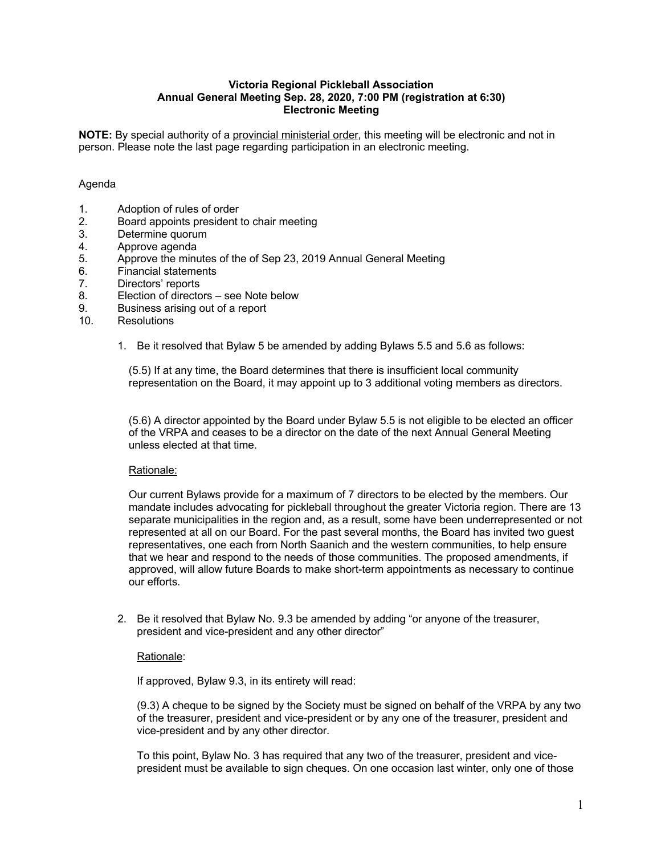#### **Victoria Regional Pickleball Association Annual General Meeting Sep. 28, 2020, 7:00 PM (registration at 6:30) Electronic Meeting**

**NOTE:** By special authority of a provincial ministerial order, this meeting will be electronic and not in person. Please note the last page regarding participation in an electronic meeting.

### Agenda

- 1. Adoption of rules of order<br>2. Board appoints president
- 2. Board appoints president to chair meeting
- 3. Determine quorum
- 4. Approve agenda
- 5. Approve the minutes of the of Sep 23, 2019 Annual General Meeting
- 6. Financial statements
- 7. Directors' reports
- 8. Election of directors see Note below
- 9. Business arising out of a report
- 10. Resolutions
	- 1. Be it resolved that Bylaw 5 be amended by adding Bylaws 5.5 and 5.6 as follows:

(5.5) If at any time, the Board determines that there is insufficient local community representation on the Board, it may appoint up to 3 additional voting members as directors.

(5.6) A director appointed by the Board under Bylaw 5.5 is not eligible to be elected an officer of the VRPA and ceases to be a director on the date of the next Annual General Meeting unless elected at that time.

#### Rationale:

Our current Bylaws provide for a maximum of 7 directors to be elected by the members. Our mandate includes advocating for pickleball throughout the greater Victoria region. There are 13 separate municipalities in the region and, as a result, some have been underrepresented or not represented at all on our Board. For the past several months, the Board has invited two guest representatives, one each from North Saanich and the western communities, to help ensure that we hear and respond to the needs of those communities. The proposed amendments, if approved, will allow future Boards to make short-term appointments as necessary to continue our efforts.

2. Be it resolved that Bylaw No. 9.3 be amended by adding "or anyone of the treasurer, president and vice-president and any other director"

#### Rationale:

If approved, Bylaw 9.3, in its entirety will read:

(9.3) A cheque to be signed by the Society must be signed on behalf of the VRPA by any two of the treasurer, president and vice-president or by any one of the treasurer, president and vice-president and by any other director.

To this point, Bylaw No. 3 has required that any two of the treasurer, president and vicepresident must be available to sign cheques. On one occasion last winter, only one of those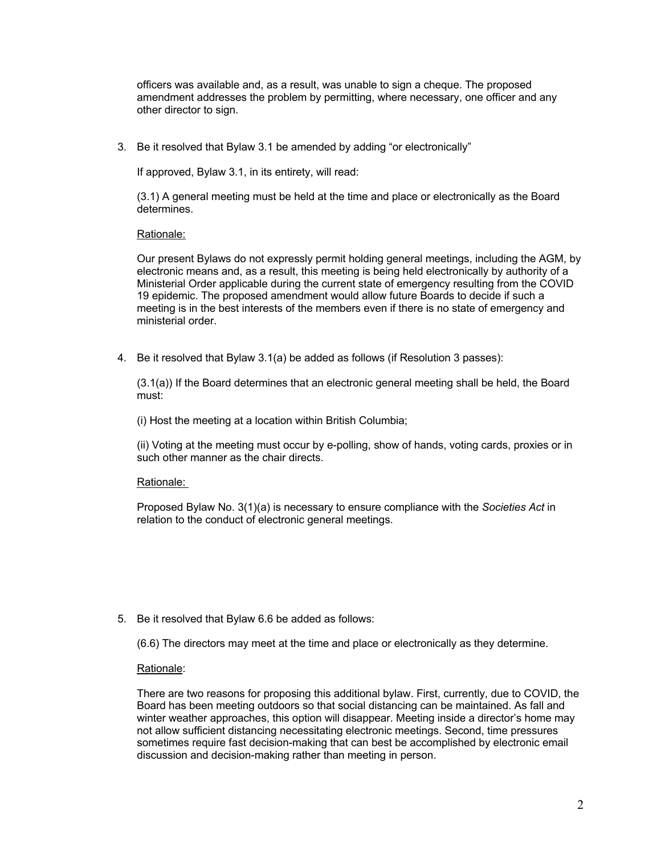officers was available and, as a result, was unable to sign a cheque. The proposed amendment addresses the problem by permitting, where necessary, one officer and any other director to sign.

3. Be it resolved that Bylaw 3.1 be amended by adding "or electronically"

If approved, Bylaw 3.1, in its entirety, will read:

(3.1) A general meeting must be held at the time and place or electronically as the Board determines.

Rationale:

Our present Bylaws do not expressly permit holding general meetings, including the AGM, by electronic means and, as a result, this meeting is being held electronically by authority of a Ministerial Order applicable during the current state of emergency resulting from the COVID 19 epidemic. The proposed amendment would allow future Boards to decide if such a meeting is in the best interests of the members even if there is no state of emergency and ministerial order.

4. Be it resolved that Bylaw 3.1(a) be added as follows (if Resolution 3 passes):

(3.1(a)) If the Board determines that an electronic general meeting shall be held, the Board must:

(i) Host the meeting at a location within British Columbia;

(ii) Voting at the meeting must occur by e-polling, show of hands, voting cards, proxies or in such other manner as the chair directs.

#### Rationale:

Proposed Bylaw No. 3(1)(a) is necessary to ensure compliance with the *Societies Act* in relation to the conduct of electronic general meetings.

5. Be it resolved that Bylaw 6.6 be added as follows:

(6.6) The directors may meet at the time and place or electronically as they determine.

Rationale:

There are two reasons for proposing this additional bylaw. First, currently, due to COVID, the Board has been meeting outdoors so that social distancing can be maintained. As fall and winter weather approaches, this option will disappear. Meeting inside a director's home may not allow sufficient distancing necessitating electronic meetings. Second, time pressures sometimes require fast decision-making that can best be accomplished by electronic email discussion and decision-making rather than meeting in person.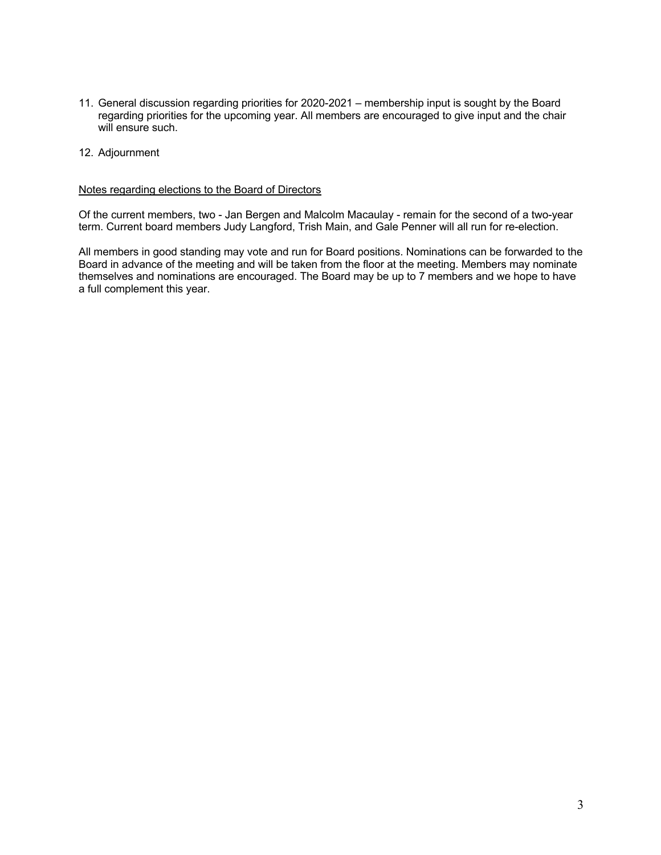- 11. General discussion regarding priorities for 2020-2021 membership input is sought by the Board regarding priorities for the upcoming year. All members are encouraged to give input and the chair will ensure such.
- 12. Adjournment

#### Notes regarding elections to the Board of Directors

Of the current members, two - Jan Bergen and Malcolm Macaulay - remain for the second of a two-year term. Current board members Judy Langford, Trish Main, and Gale Penner will all run for re-election.

All members in good standing may vote and run for Board positions. Nominations can be forwarded to the Board in advance of the meeting and will be taken from the floor at the meeting. Members may nominate themselves and nominations are encouraged. The Board may be up to 7 members and we hope to have a full complement this year.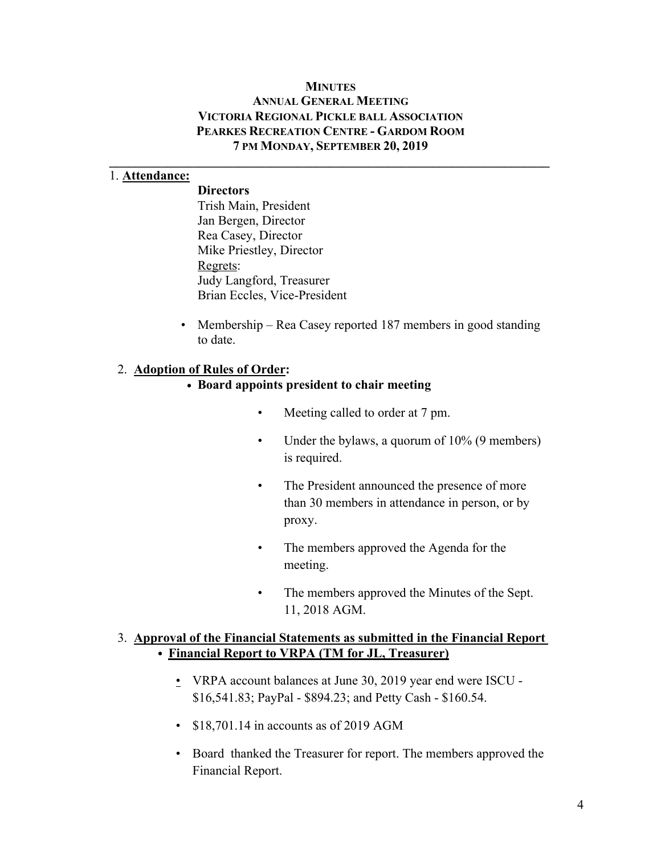### **MINUTES**

## **ANNUAL GENERAL MEETING VICTORIA REGIONAL PICKLE BALL ASSOCIATION PEARKES RECREATION CENTRE - GARDOM ROOM 7 PM MONDAY, SEPTEMBER 20, 2019**

 $\mathcal{L} = \{ \mathcal{L} \mathcal{L} \mathcal{L} \mathcal{L} \mathcal{L} \mathcal{L} \mathcal{L} \mathcal{L} \mathcal{L} \mathcal{L} \mathcal{L} \mathcal{L} \mathcal{L} \mathcal{L} \mathcal{L} \mathcal{L} \mathcal{L} \mathcal{L} \mathcal{L} \mathcal{L} \mathcal{L} \mathcal{L} \mathcal{L} \mathcal{L} \mathcal{L} \mathcal{L} \mathcal{L} \mathcal{L} \mathcal{L} \mathcal{L} \mathcal{L} \mathcal{L} \mathcal{L} \mathcal{L} \mathcal{L} \$ 

## 1. **Attendance:**

**Directors** Trish Main, President Jan Bergen, Director Rea Casey, Director Mike Priestley, Director Regrets: Judy Langford, Treasurer Brian Eccles, Vice-President

• Membership – Rea Casey reported 187 members in good standing to date.

## 2. **Adoption of Rules of Order:**

## **• Board appoints president to chair meeting**

- Meeting called to order at 7 pm.
- Under the bylaws, a quorum of 10% (9 members) is required.
- The President announced the presence of more than 30 members in attendance in person, or by proxy.
- The members approved the Agenda for the meeting.
- The members approved the Minutes of the Sept. 11, 2018 AGM.

## 3. **Approval of the Financial Statements as submitted in the Financial Report • Financial Report to VRPA (TM for JL, Treasurer)**

- VRPA account balances at June 30, 2019 year end were ISCU \$16,541.83; PayPal - \$894.23; and Petty Cash - \$160.54.
- \$18,701.14 in accounts as of 2019 AGM
- Board thanked the Treasurer for report. The members approved the Financial Report.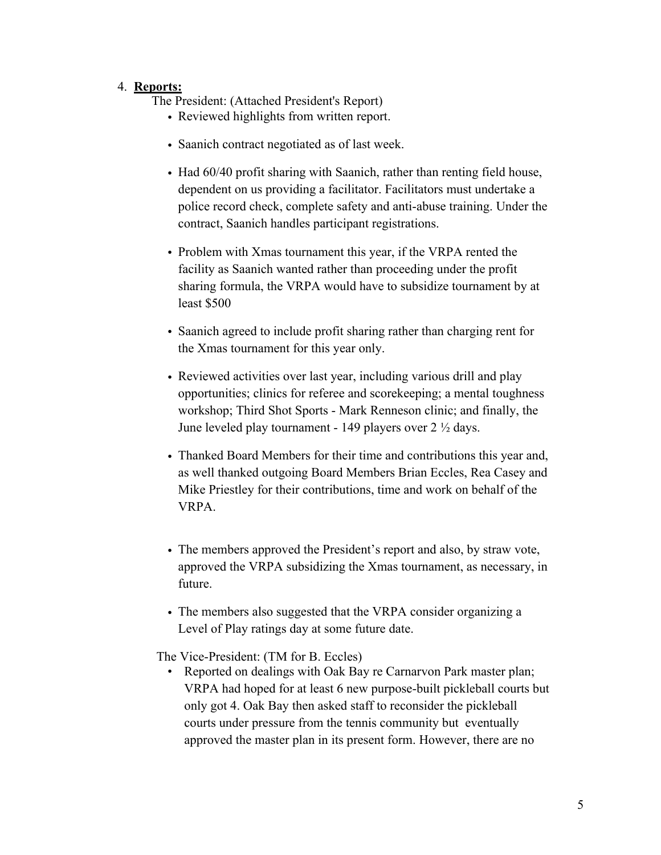## 4. **Reports:**

The President: (Attached President's Report)

- Reviewed highlights from written report.
- Saanich contract negotiated as of last week.
- Had 60/40 profit sharing with Saanich, rather than renting field house, dependent on us providing a facilitator. Facilitators must undertake a police record check, complete safety and anti-abuse training. Under the contract, Saanich handles participant registrations.
- Problem with Xmas tournament this year, if the VRPA rented the facility as Saanich wanted rather than proceeding under the profit sharing formula, the VRPA would have to subsidize tournament by at least \$500
- Saanich agreed to include profit sharing rather than charging rent for the Xmas tournament for this year only.
- Reviewed activities over last year, including various drill and play opportunities; clinics for referee and scorekeeping; a mental toughness workshop; Third Shot Sports - Mark Renneson clinic; and finally, the June leveled play tournament - 149 players over 2 ½ days.
- Thanked Board Members for their time and contributions this year and, as well thanked outgoing Board Members Brian Eccles, Rea Casey and Mike Priestley for their contributions, time and work on behalf of the VRPA.
- The members approved the President's report and also, by straw vote, approved the VRPA subsidizing the Xmas tournament, as necessary, in future.
- The members also suggested that the VRPA consider organizing a Level of Play ratings day at some future date.

The Vice-President: (TM for B. Eccles)

• Reported on dealings with Oak Bay re Carnarvon Park master plan; VRPA had hoped for at least 6 new purpose-built pickleball courts but only got 4. Oak Bay then asked staff to reconsider the pickleball courts under pressure from the tennis community but eventually approved the master plan in its present form. However, there are no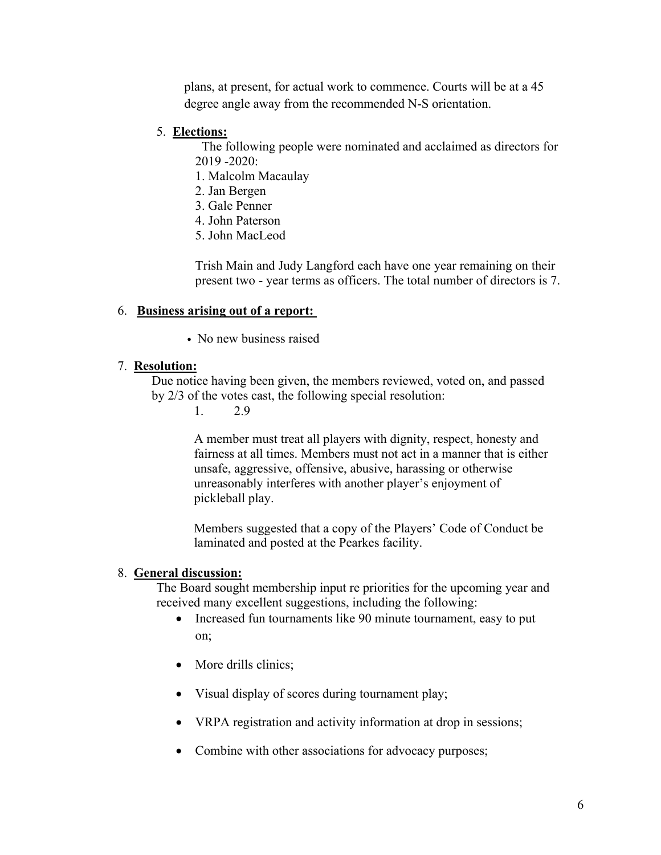plans, at present, for actual work to commence. Courts will be at a 45 degree angle away from the recommended N-S orientation.

### 5. **Elections:**

 The following people were nominated and acclaimed as directors for 2019 -2020:

- 1. Malcolm Macaulay
- 2. Jan Bergen
- 3. Gale Penner
- 4. John Paterson
- 5. John MacLeod

Trish Main and Judy Langford each have one year remaining on their present two - year terms as officers. The total number of directors is 7.

## 6. **Business arising out of a report:**

• No new business raised

#### 7. **Resolution:**

Due notice having been given, the members reviewed, voted on, and passed by 2/3 of the votes cast, the following special resolution:

1. 2.9

A member must treat all players with dignity, respect, honesty and fairness at all times. Members must not act in a manner that is either unsafe, aggressive, offensive, abusive, harassing or otherwise unreasonably interferes with another player's enjoyment of pickleball play.

Members suggested that a copy of the Players' Code of Conduct be laminated and posted at the Pearkes facility.

#### 8. **General discussion:**

The Board sought membership input re priorities for the upcoming year and received many excellent suggestions, including the following:

- Increased fun tournaments like 90 minute tournament, easy to put on;
- More drills clinics;
- Visual display of scores during tournament play;
- VRPA registration and activity information at drop in sessions;
- Combine with other associations for advocacy purposes;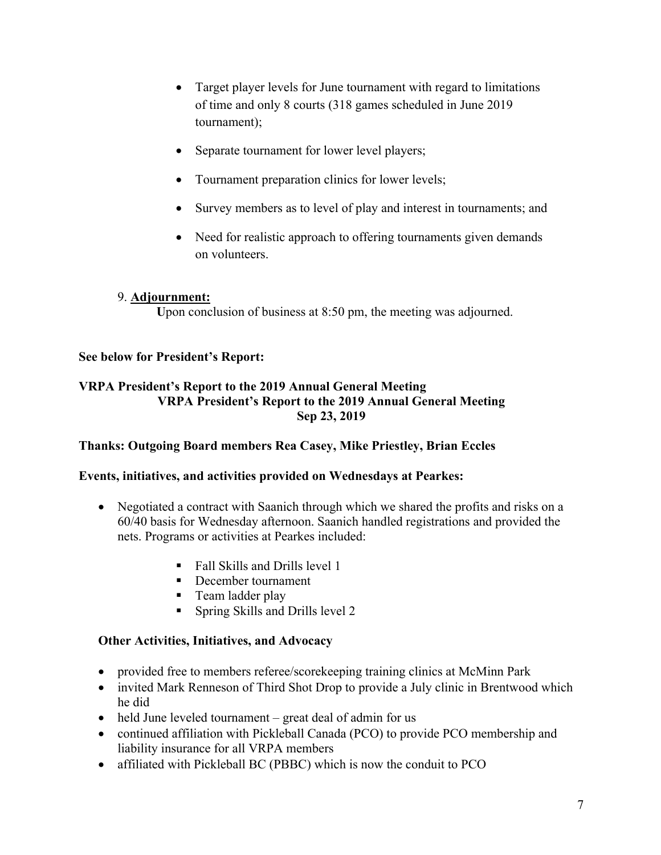- Target player levels for June tournament with regard to limitations of time and only 8 courts (318 games scheduled in June 2019 tournament);
- Separate tournament for lower level players;
- Tournament preparation clinics for lower levels;
- Survey members as to level of play and interest in tournaments; and
- Need for realistic approach to offering tournaments given demands on volunteers.

## 9. **Adjournment:**

Upon conclusion of business at 8:50 pm, the meeting was adjourned.

## **See below for President's Report:**

## **VRPA President's Report to the 2019 Annual General Meeting VRPA President's Report to the 2019 Annual General Meeting Sep 23, 2019**

## **Thanks: Outgoing Board members Rea Casey, Mike Priestley, Brian Eccles**

## **Events, initiatives, and activities provided on Wednesdays at Pearkes:**

- Negotiated a contract with Saanich through which we shared the profits and risks on a 60/40 basis for Wednesday afternoon. Saanich handled registrations and provided the nets. Programs or activities at Pearkes included:
	- Fall Skills and Drills level 1
	- December tournament
	- Team ladder play
	- § Spring Skills and Drills level 2

## **Other Activities, Initiatives, and Advocacy**

- provided free to members referee/score keeping training clinics at McMinn Park
- invited Mark Renneson of Third Shot Drop to provide a July clinic in Brentwood which he did
- held June leveled tournament great deal of admin for us
- continued affiliation with Pickleball Canada (PCO) to provide PCO membership and liability insurance for all VRPA members
- affiliated with Pickleball BC (PBBC) which is now the conduit to PCO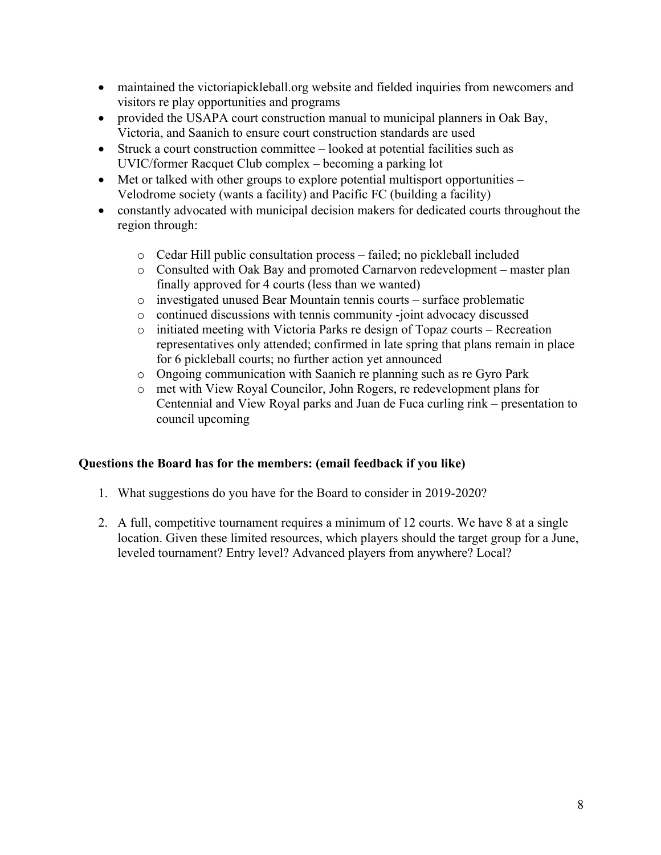- maintained the victoriapickleball.org website and fielded inquiries from newcomers and visitors re play opportunities and programs
- provided the USAPA court construction manual to municipal planners in Oak Bay, Victoria, and Saanich to ensure court construction standards are used
- Struck a court construction committee looked at potential facilities such as UVIC/former Racquet Club complex – becoming a parking lot
- Met or talked with other groups to explore potential multisport opportunities Velodrome society (wants a facility) and Pacific FC (building a facility)
- constantly advocated with municipal decision makers for dedicated courts throughout the region through:
	- o Cedar Hill public consultation process failed; no pickleball included
	- o Consulted with Oak Bay and promoted Carnarvon redevelopment master plan finally approved for 4 courts (less than we wanted)
	- o investigated unused Bear Mountain tennis courts surface problematic
	- o continued discussions with tennis community -joint advocacy discussed
	- o initiated meeting with Victoria Parks re design of Topaz courts Recreation representatives only attended; confirmed in late spring that plans remain in place for 6 pickleball courts; no further action yet announced
	- o Ongoing communication with Saanich re planning such as re Gyro Park
	- o met with View Royal Councilor, John Rogers, re redevelopment plans for Centennial and View Royal parks and Juan de Fuca curling rink – presentation to council upcoming

## **Questions the Board has for the members: (email feedback if you like)**

- 1. What suggestions do you have for the Board to consider in 2019-2020?
- 2. A full, competitive tournament requires a minimum of 12 courts. We have 8 at a single location. Given these limited resources, which players should the target group for a June, leveled tournament? Entry level? Advanced players from anywhere? Local?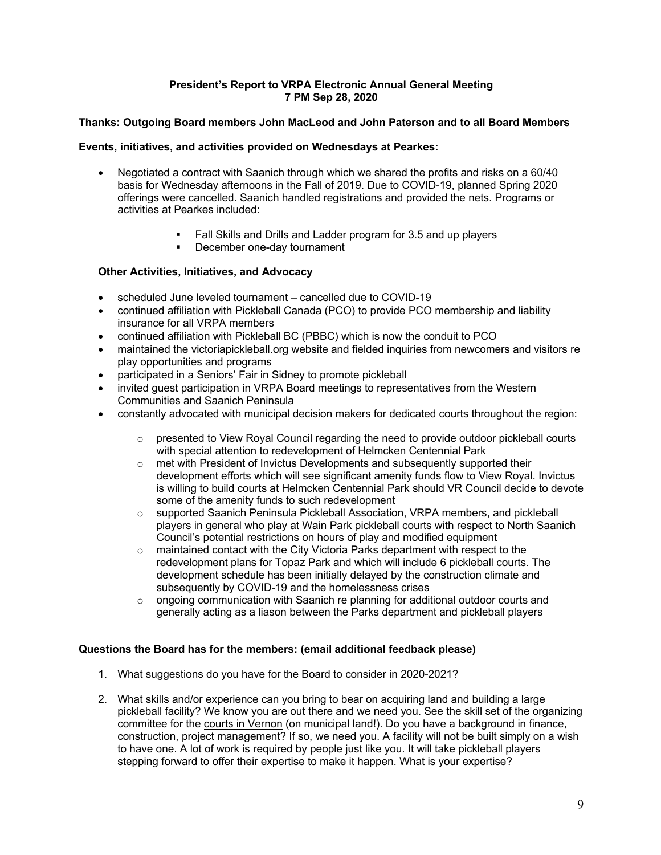#### **President's Report to VRPA Electronic Annual General Meeting 7 PM Sep 28, 2020**

### **Thanks: Outgoing Board members John MacLeod and John Paterson and to all Board Members**

### **Events, initiatives, and activities provided on Wednesdays at Pearkes:**

- Negotiated a contract with Saanich through which we shared the profits and risks on a 60/40 basis for Wednesday afternoons in the Fall of 2019. Due to COVID-19, planned Spring 2020 offerings were cancelled. Saanich handled registrations and provided the nets. Programs or activities at Pearkes included:
	- § Fall Skills and Drills and Ladder program for 3.5 and up players
	- **•** December one-day tournament

## **Other Activities, Initiatives, and Advocacy**

- scheduled June leveled tournament cancelled due to COVID-19
- continued affiliation with Pickleball Canada (PCO) to provide PCO membership and liability insurance for all VRPA members
- continued affiliation with Pickleball BC (PBBC) which is now the conduit to PCO
- maintained the victoriapickleball.org website and fielded inquiries from newcomers and visitors re play opportunities and programs
- participated in a Seniors' Fair in Sidney to promote pickleball
- invited guest participation in VRPA Board meetings to representatives from the Western Communities and Saanich Peninsula
- constantly advocated with municipal decision makers for dedicated courts throughout the region:
	- $\circ$  presented to View Royal Council regarding the need to provide outdoor pickleball courts with special attention to redevelopment of Helmcken Centennial Park
	- o met with President of Invictus Developments and subsequently supported their development efforts which will see significant amenity funds flow to View Royal. Invictus is willing to build courts at Helmcken Centennial Park should VR Council decide to devote some of the amenity funds to such redevelopment
	- o supported Saanich Peninsula Pickleball Association, VRPA members, and pickleball players in general who play at Wain Park pickleball courts with respect to North Saanich Council's potential restrictions on hours of play and modified equipment
	- $\circ$  maintained contact with the City Victoria Parks department with respect to the redevelopment plans for Topaz Park and which will include 6 pickleball courts. The development schedule has been initially delayed by the construction climate and subsequently by COVID-19 and the homelessness crises
	- o ongoing communication with Saanich re planning for additional outdoor courts and generally acting as a liason between the Parks department and pickleball players

### **Questions the Board has for the members: (email additional feedback please)**

- 1. What suggestions do you have for the Board to consider in 2020-2021?
- 2. What skills and/or experience can you bring to bear on acquiring land and building a large pickleball facility? We know you are out there and we need you. See the skill set of the organizing committee for the courts in Vernon (on municipal land!). Do you have a background in finance, construction, project management? If so, we need you. A facility will not be built simply on a wish to have one. A lot of work is required by people just like you. It will take pickleball players stepping forward to offer their expertise to make it happen. What is your expertise?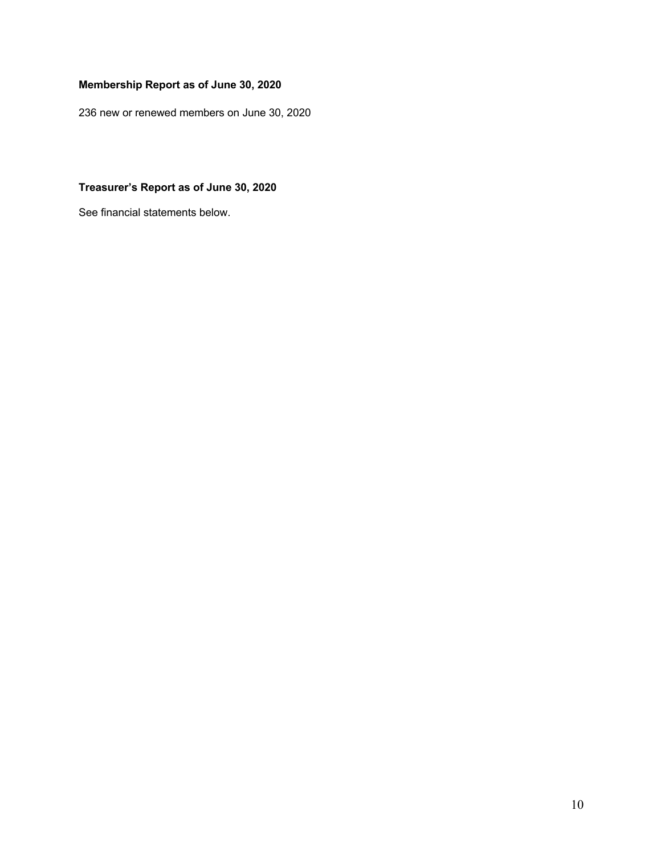# **Membership Report as of June 30, 2020**

236 new or renewed members on June 30, 2020

## **Treasurer's Report as of June 30, 2020**

See financial statements below.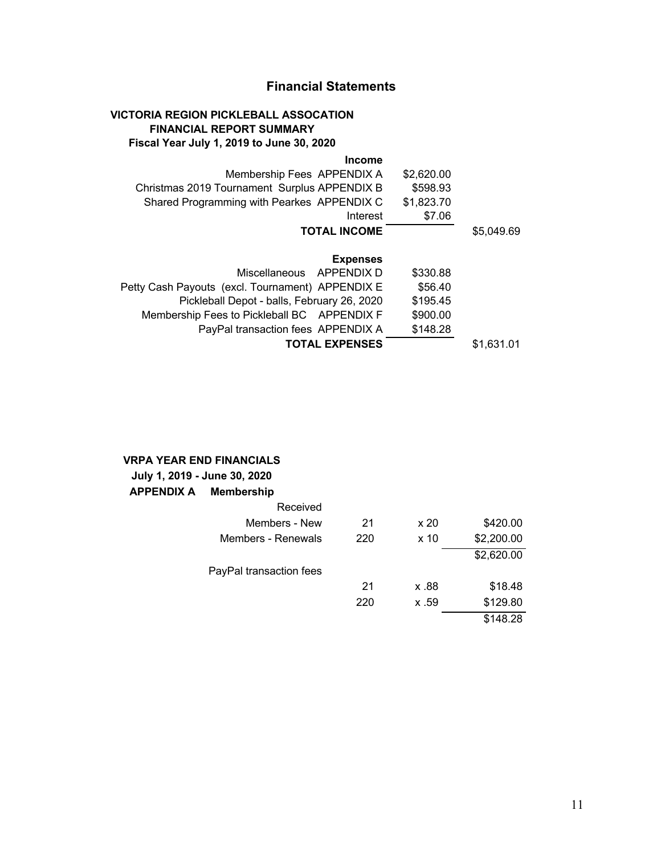# **Financial Statements**

## **VICTORIA REGION PICKLEBALL ASSOCATION FINANCIAL REPORT SUMMARY Fiscal Year July 1, 2019 to June 30, 2020**

#### **Income**

|            | \$2,620.00 | Membership Fees APPENDIX A                       |
|------------|------------|--------------------------------------------------|
|            | \$598.93   | Christmas 2019 Tournament Surplus APPENDIX B     |
|            | \$1,823.70 | Shared Programming with Pearkes APPENDIX C       |
|            | \$7.06     | Interest                                         |
| \$5,049.69 |            | <b>TOTAL INCOME</b>                              |
|            |            | <b>Expenses</b>                                  |
|            | \$330.88   | Miscellaneous APPENDIX D                         |
|            | \$56.40    | Petty Cash Payouts (excl. Tournament) APPENDIX E |
|            | \$195.45   | Pickleball Depot - balls, February 26, 2020      |
|            | \$900.00   | Membership Fees to Pickleball BC APPENDIX F      |
|            | \$148.28   | PayPal transaction fees APPENDIX A               |

## **TOTAL EXPENSES** \$1,631.01

## **VRPA YEAR END FINANCIALS**

| July 1, 2019 - June 30, 2020 |                         |     |                 |
|------------------------------|-------------------------|-----|-----------------|
| <b>APPENDIX A Membership</b> |                         |     |                 |
|                              | Received                |     |                 |
|                              | Members - New           | 21  | x 20            |
|                              | Members - Renewals      | 220 | x <sub>10</sub> |
|                              | PayPal transaction fees |     |                 |
|                              |                         |     | 88. x           |

| Members - New         | 21  | x <sub>20</sub> | \$420.00   |
|-----------------------|-----|-----------------|------------|
| Members - Renewals    | 220 | x <sub>10</sub> | \$2,200.00 |
|                       |     |                 | \$2,620.00 |
| yPal transaction fees |     |                 |            |
|                       | 21  | 88. x           | \$18.48    |
|                       | 220 | x .59           | \$129.80   |
|                       |     |                 | \$148.28   |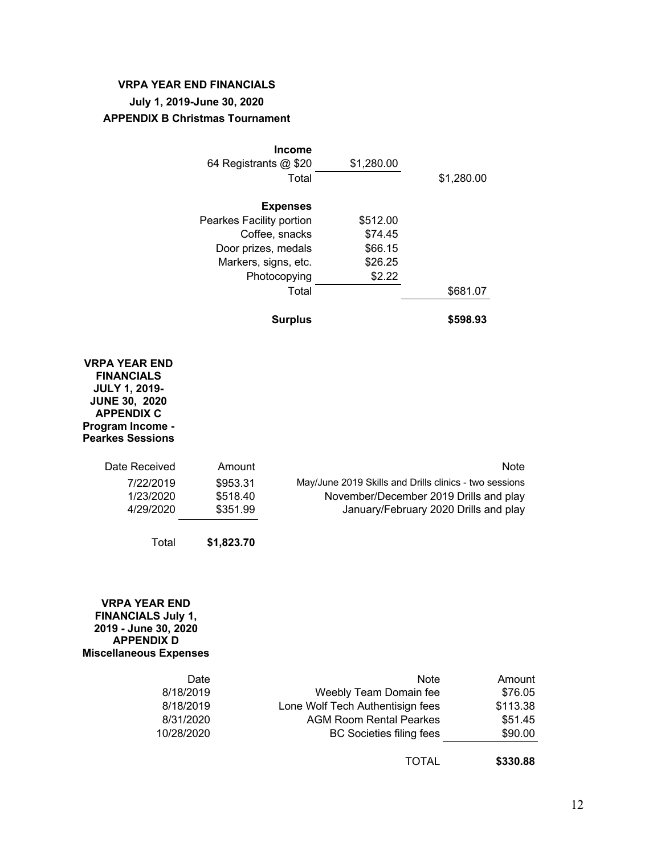## **VRPA YEAR END FINANCIALS July 1, 2019-June 30, 2020 APPENDIX B Christmas Tournament**

| <b>Income</b>            |            |            |
|--------------------------|------------|------------|
| 64 Registrants @ \$20    | \$1,280.00 |            |
| Total                    |            | \$1,280.00 |
| <b>Expenses</b>          |            |            |
|                          |            |            |
| Pearkes Facility portion | \$512.00   |            |
| Coffee, snacks           | \$74.45    |            |
| Door prizes, medals      | \$66.15    |            |
| Markers, signs, etc.     | \$26.25    |            |
| Photocopying             | \$2.22     |            |
| Total                    |            | \$681.07   |
| <b>Surplus</b>           |            | \$598.93   |

#### **VRPA YEAR END FINANCIALS JULY 1, 2019- JUNE 30, 2020 APPENDIX C Program Income - Pearkes Sessions**

| Date Received | Amount     | <b>Note</b>                                            |
|---------------|------------|--------------------------------------------------------|
| 7/22/2019     | \$953.31   | May/June 2019 Skills and Drills clinics - two sessions |
| 1/23/2020     | \$518.40   | November/December 2019 Drills and play                 |
| 4/29/2020     | \$351.99   | January/February 2020 Drills and play                  |
|               |            |                                                        |
| Total         | \$1,823.70 |                                                        |

#### **VRPA YEAR END FINANCIALS July 1, 2019 - June 30, 2020 APPENDIX D Miscellaneous Expenses**

| Date       | <b>Note</b>                      | Amount   |
|------------|----------------------------------|----------|
| 8/18/2019  | Weebly Team Domain fee           | \$76.05  |
| 8/18/2019  | Lone Wolf Tech Authentisign fees | \$113.38 |
| 8/31/2020  | <b>AGM Room Rental Pearkes</b>   | \$51.45  |
| 10/28/2020 | <b>BC Societies filing fees</b>  | \$90.00  |

TOTAL **\$330.88**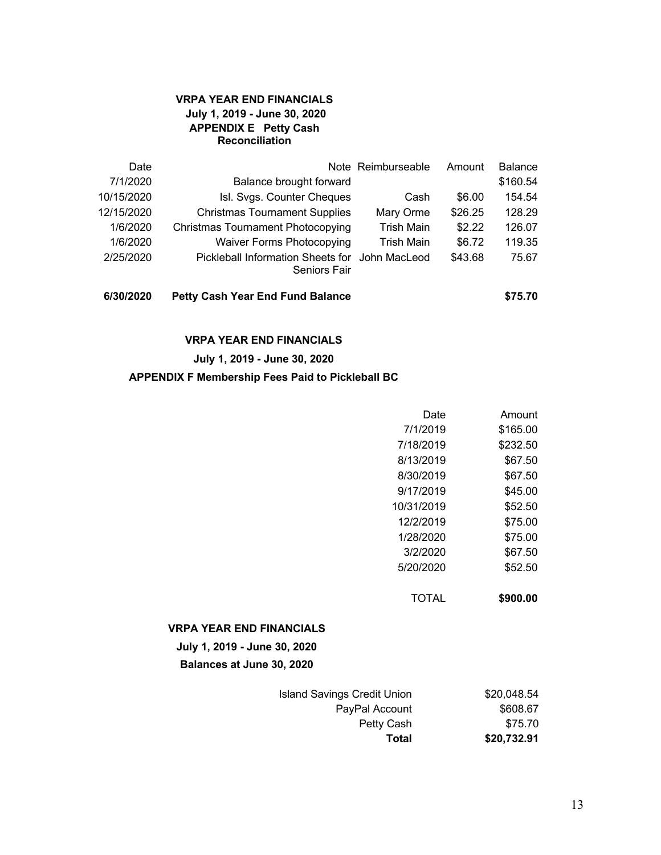### **VRPA YEAR END FINANCIALS July 1, 2019 - June 30, 2020 APPENDIX E Petty Cash Reconciliation**

| Date       |                                                                       | Note Reimburseable | Amount  | <b>Balance</b> |
|------------|-----------------------------------------------------------------------|--------------------|---------|----------------|
| 7/1/2020   | Balance brought forward                                               |                    |         | \$160.54       |
| 10/15/2020 | Isl. Svgs. Counter Cheques                                            | Cash               | \$6.00  | 154.54         |
| 12/15/2020 | <b>Christmas Tournament Supplies</b>                                  | Mary Orme          | \$26.25 | 128.29         |
| 1/6/2020   | <b>Christmas Tournament Photocopying</b>                              | <b>Trish Main</b>  | \$2.22  | 126.07         |
| 1/6/2020   | <b>Waiver Forms Photocopying</b>                                      | <b>Trish Main</b>  | \$6.72  | 119.35         |
| 2/25/2020  | Pickleball Information Sheets for John MacLeod<br><b>Seniors Fair</b> |                    | \$43.68 | 75.67          |
| 6/30/2020  | <b>Petty Cash Year End Fund Balance</b>                               |                    |         | \$75.70        |

### **VRPA YEAR END FINANCIALS**

### **July 1, 2019 - June 30, 2020**

#### **APPENDIX F Membership Fees Paid to Pickleball BC**

| Date       | Amount   |
|------------|----------|
| 7/1/2019   | \$165.00 |
| 7/18/2019  | \$232.50 |
| 8/13/2019  | \$67.50  |
| 8/30/2019  | \$67.50  |
| 9/17/2019  | \$45.00  |
| 10/31/2019 | \$52.50  |
| 12/2/2019  | \$75.00  |
| 1/28/2020  | \$75.00  |
| 3/2/2020   | \$67.50  |
| 5/20/2020  | \$52.50  |
|            |          |

TOTAL **\$900.00**

#### **VRPA YEAR END FINANCIALS**

**July 1, 2019 - June 30, 2020 Balances at June 30, 2020**

| <b>Island Savings Credit Union</b> | \$20,048.54 |
|------------------------------------|-------------|
| PayPal Account                     | \$608.67    |
| Petty Cash                         | \$75.70     |
| Total                              | \$20,732.91 |